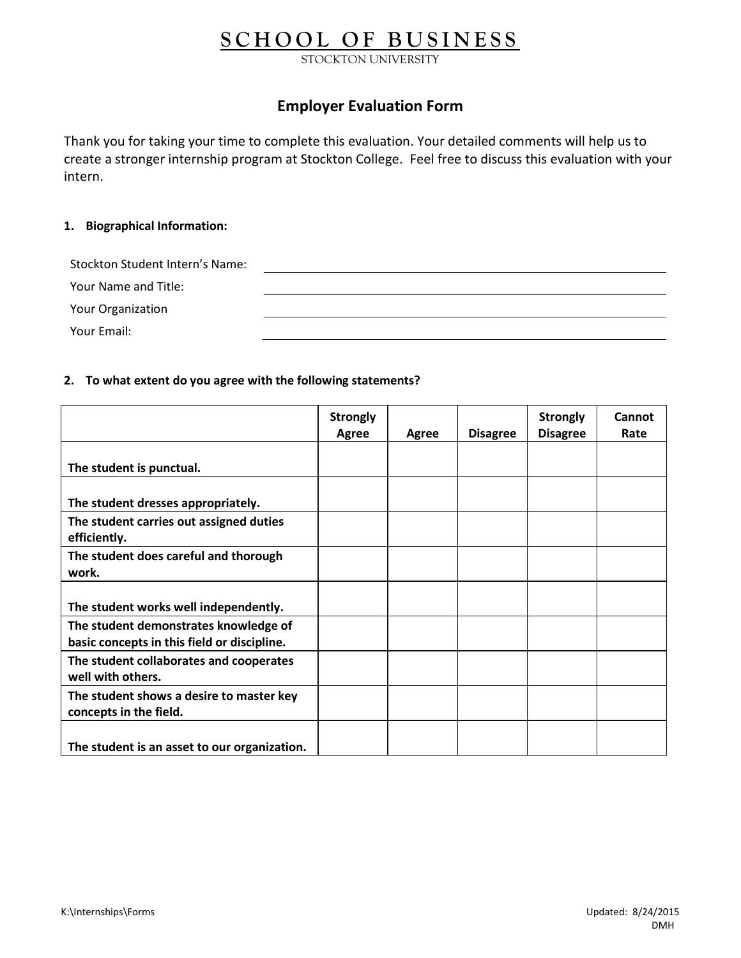# **S C H O O L O F B U S I N E S S**

STOCKTON UNIVERSITY

# **Employer Evaluation Form**

Thank you for taking your time to complete this evaluation. Your detailed comments will help us to create a stronger internship program at Stockton College. Feel free to discuss this evaluation with your intern.

### **1. Biographical Information:**

| Stockton Student Intern's Name: |  |
|---------------------------------|--|
| Your Name and Title:            |  |
| <b>Your Organization</b>        |  |
| Your Email:                     |  |

#### **2. To what extent do you agree with the following statements?**

|                                                                                      | <b>Strongly</b><br><b>Agree</b> | Agree | <b>Disagree</b> | <b>Strongly</b><br><b>Disagree</b> | Cannot<br>Rate |
|--------------------------------------------------------------------------------------|---------------------------------|-------|-----------------|------------------------------------|----------------|
| The student is punctual.                                                             |                                 |       |                 |                                    |                |
| The student dresses appropriately.                                                   |                                 |       |                 |                                    |                |
| The student carries out assigned duties<br>efficiently.                              |                                 |       |                 |                                    |                |
| The student does careful and thorough<br>work.                                       |                                 |       |                 |                                    |                |
| The student works well independently.                                                |                                 |       |                 |                                    |                |
| The student demonstrates knowledge of<br>basic concepts in this field or discipline. |                                 |       |                 |                                    |                |
| The student collaborates and cooperates<br>well with others.                         |                                 |       |                 |                                    |                |
| The student shows a desire to master key<br>concepts in the field.                   |                                 |       |                 |                                    |                |
| The student is an asset to our organization.                                         |                                 |       |                 |                                    |                |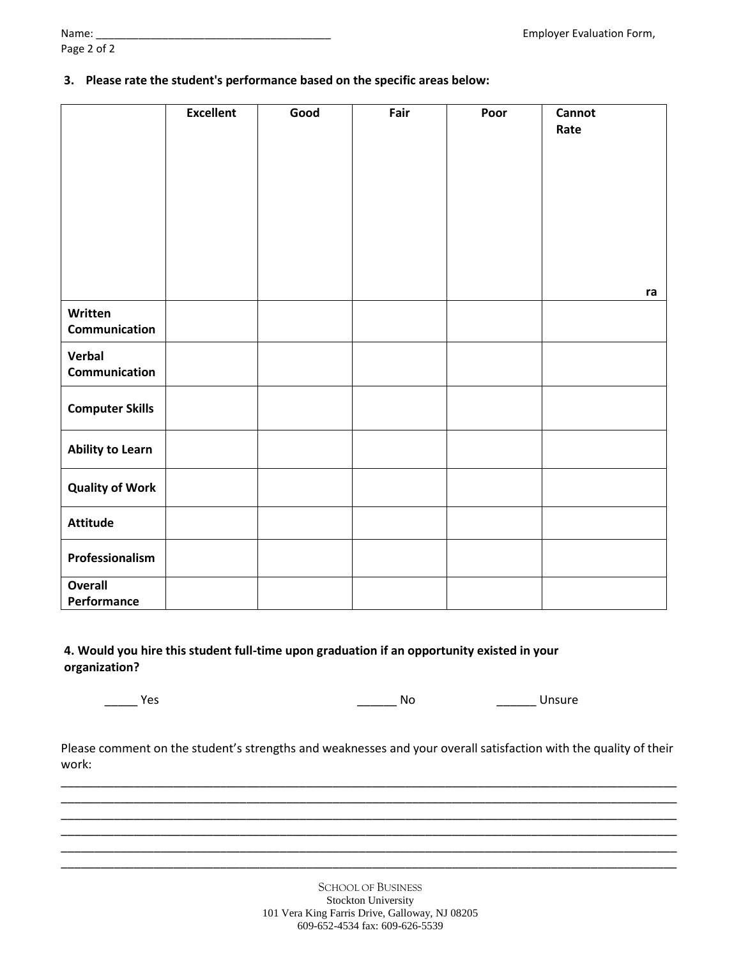Page 2 of 2

**3. Please rate the student's performance based on the specific areas below:**

|                               | <b>Excellent</b> | Good | Fair | Poor | <b>Cannot</b><br>Rate |
|-------------------------------|------------------|------|------|------|-----------------------|
|                               |                  |      |      |      | ra                    |
| Written<br>Communication      |                  |      |      |      |                       |
| Verbal<br>Communication       |                  |      |      |      |                       |
| <b>Computer Skills</b>        |                  |      |      |      |                       |
| <b>Ability to Learn</b>       |                  |      |      |      |                       |
| <b>Quality of Work</b>        |                  |      |      |      |                       |
| <b>Attitude</b>               |                  |      |      |      |                       |
| Professionalism               |                  |      |      |      |                       |
| <b>Overall</b><br>Performance |                  |      |      |      |                       |

## **4. Would you hire this student full-time upon graduation if an opportunity existed in your organization?**

\_\_\_\_\_ Yes \_\_\_\_\_\_ No \_\_\_\_\_\_ Unsure

Please comment on the student's strengths and weaknesses and your overall satisfaction with the quality of their work:

\_\_\_\_\_\_\_\_\_\_\_\_\_\_\_\_\_\_\_\_\_\_\_\_\_\_\_\_\_\_\_\_\_\_\_\_\_\_\_\_\_\_\_\_\_\_\_\_\_\_\_\_\_\_\_\_\_\_\_\_\_\_\_\_\_\_\_\_\_\_\_\_\_\_\_\_\_\_\_\_\_\_\_\_\_\_\_\_\_\_\_\_\_ \_\_\_\_\_\_\_\_\_\_\_\_\_\_\_\_\_\_\_\_\_\_\_\_\_\_\_\_\_\_\_\_\_\_\_\_\_\_\_\_\_\_\_\_\_\_\_\_\_\_\_\_\_\_\_\_\_\_\_\_\_\_\_\_\_\_\_\_\_\_\_\_\_\_\_\_\_\_\_\_\_\_\_\_\_\_\_\_\_\_\_\_\_ \_\_\_\_\_\_\_\_\_\_\_\_\_\_\_\_\_\_\_\_\_\_\_\_\_\_\_\_\_\_\_\_\_\_\_\_\_\_\_\_\_\_\_\_\_\_\_\_\_\_\_\_\_\_\_\_\_\_\_\_\_\_\_\_\_\_\_\_\_\_\_\_\_\_\_\_\_\_\_\_\_\_\_\_\_\_\_\_\_\_\_\_\_ \_\_\_\_\_\_\_\_\_\_\_\_\_\_\_\_\_\_\_\_\_\_\_\_\_\_\_\_\_\_\_\_\_\_\_\_\_\_\_\_\_\_\_\_\_\_\_\_\_\_\_\_\_\_\_\_\_\_\_\_\_\_\_\_\_\_\_\_\_\_\_\_\_\_\_\_\_\_\_\_\_\_\_\_\_\_\_\_\_\_\_\_\_ \_\_\_\_\_\_\_\_\_\_\_\_\_\_\_\_\_\_\_\_\_\_\_\_\_\_\_\_\_\_\_\_\_\_\_\_\_\_\_\_\_\_\_\_\_\_\_\_\_\_\_\_\_\_\_\_\_\_\_\_\_\_\_\_\_\_\_\_\_\_\_\_\_\_\_\_\_\_\_\_\_\_\_\_\_\_\_\_\_\_\_\_\_ \_\_\_\_\_\_\_\_\_\_\_\_\_\_\_\_\_\_\_\_\_\_\_\_\_\_\_\_\_\_\_\_\_\_\_\_\_\_\_\_\_\_\_\_\_\_\_\_\_\_\_\_\_\_\_\_\_\_\_\_\_\_\_\_\_\_\_\_\_\_\_\_\_\_\_\_\_\_\_\_\_\_\_\_\_\_\_\_\_\_\_\_\_